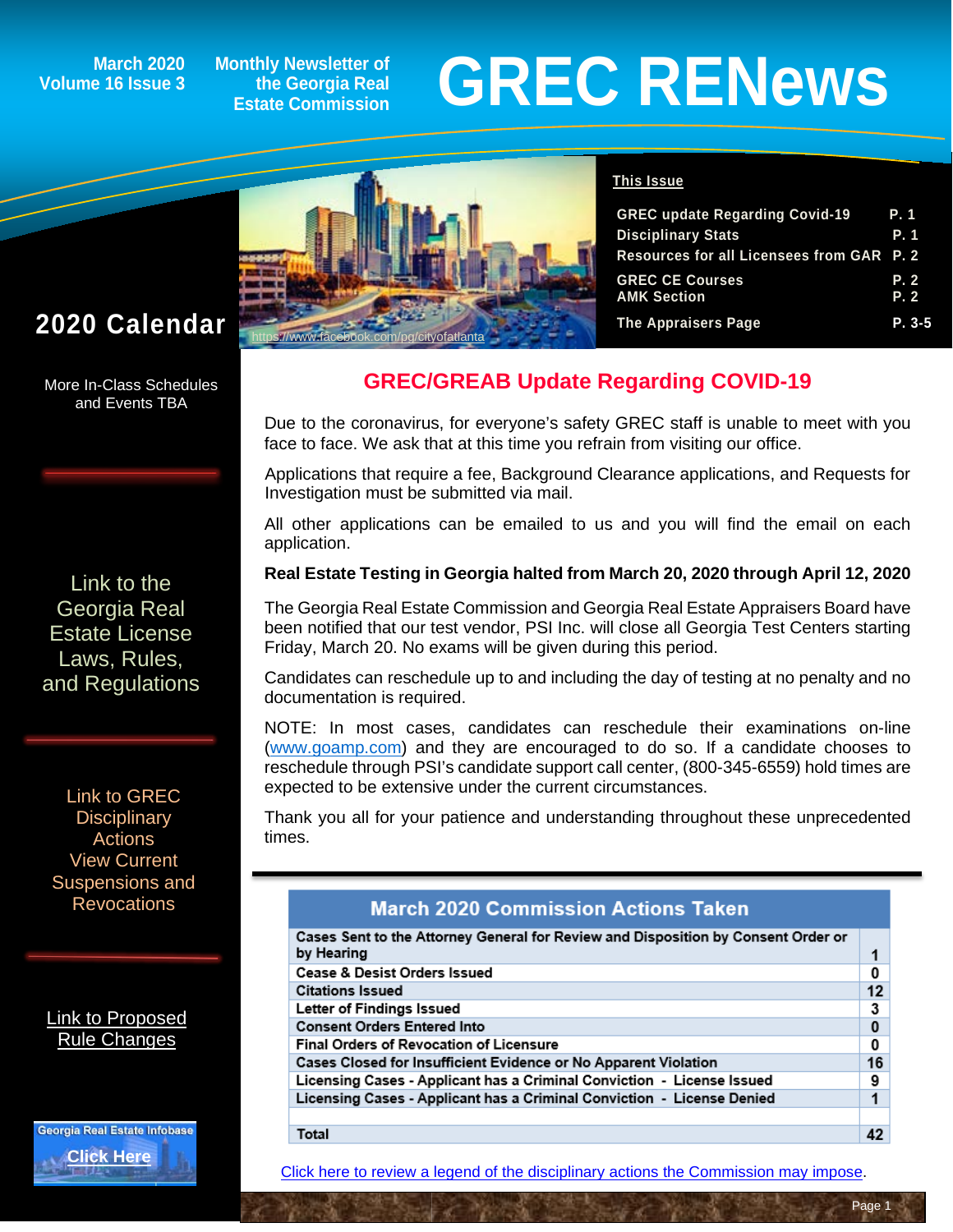## **Volume 16 Issue 3**

**Monthly Newsletter of the Georgia Real Estate Commission**

# March 2020 Monthly Newsletter of<br>Estate Commission<br>Estate Commission



### **This Issue**

| <b>GREC update Regarding Covid-19</b>     | P. 1     |
|-------------------------------------------|----------|
| <b>Disciplinary Stats</b>                 | P. 1     |
| Resources for all Licensees from GAR P. 2 |          |
| <b>GREC CE Courses</b>                    | P. 2     |
| <b>AMK Section</b>                        | P. 2     |
| The Appraisers Page                       | $P. 3-5$ |

### **2020 Calendar**

More In-Class Schedules and Events TBA

[Link to the](http://www.grec.state.ga.us/about/relaw.html)  [Georgia Real](http://www.grec.state.ga.us/about/relaw.html)  [Estate License](http://www.grec.state.ga.us/about/relaw.html)  [Laws, Rules,](http://www.grec.state.ga.us/about/relaw.html)  [and Regulations](http://www.grec.state.ga.us/about/relaw.html)

[Link to GREC](http://www.grec.state.ga.us/about/resanctions.html)  **Disciplinary** [Actions](http://www.grec.state.ga.us/about/resanctions.html) View Current Suspensions and **Revocations** 

[Link to Proposed](http://www.grec.state.ga.us/about/reproposed.html)  [Rule Changes](http://www.grec.state.ga.us/about/reproposed.html)



### **GREC/GREAB Update Regarding COVID-19**

Due to the coronavirus, for everyone's safety GREC staff is unable to meet with you face to face. We ask that at this time you refrain from visiting our office.

Applications that require a fee, Background Clearance applications, and Requests for Investigation must be submitted via mail.

All other applications can be emailed to us and you will find the email on each application.

### **Real Estate Testing in Georgia halted from March 20, 2020 through April 12, 2020**

The Georgia Real Estate Commission and Georgia Real Estate Appraisers Board have been notified that our test vendor, PSI Inc. will close all Georgia Test Centers starting Friday, March 20. No exams will be given during this period.

Candidates can reschedule up to and including the day of testing at no penalty and no documentation is required.

NOTE: In most cases, candidates can reschedule their examinations on-line [\(www.goamp.com\)](http://www.goamp.com/) and they are encouraged to do so. If a candidate chooses to reschedule through PSI's candidate support call center, (800-345-6559) hold times are expected to be extensive under the current circumstances.

Thank you all for your patience and understanding throughout these unprecedented times.

### **March 2020 Commission Actions Taken**

| Cases Sent to the Attorney General for Review and Disposition by Consent Order or<br>by Hearing |          |
|-------------------------------------------------------------------------------------------------|----------|
|                                                                                                 |          |
| <b>Cease &amp; Desist Orders Issued</b>                                                         | 0        |
| <b>Citations Issued</b>                                                                         | 12       |
| Letter of Findings Issued                                                                       | 3        |
| <b>Consent Orders Entered Into</b>                                                              | $\bf{0}$ |
| <b>Final Orders of Revocation of Licensure</b>                                                  |          |
| Cases Closed for Insufficient Evidence or No Apparent Violation                                 |          |
| Licensing Cases - Applicant has a Criminal Conviction - License Issued                          | 9        |
| Licensing Cases - Applicant has a Criminal Conviction - License Denied                          |          |
|                                                                                                 |          |
| Total                                                                                           | 42       |

[Click here to review a legend of the disciplinary actions the Commission may impose.](https://www.jmre.com/grec/GRECDisciplinaryTools.pdf)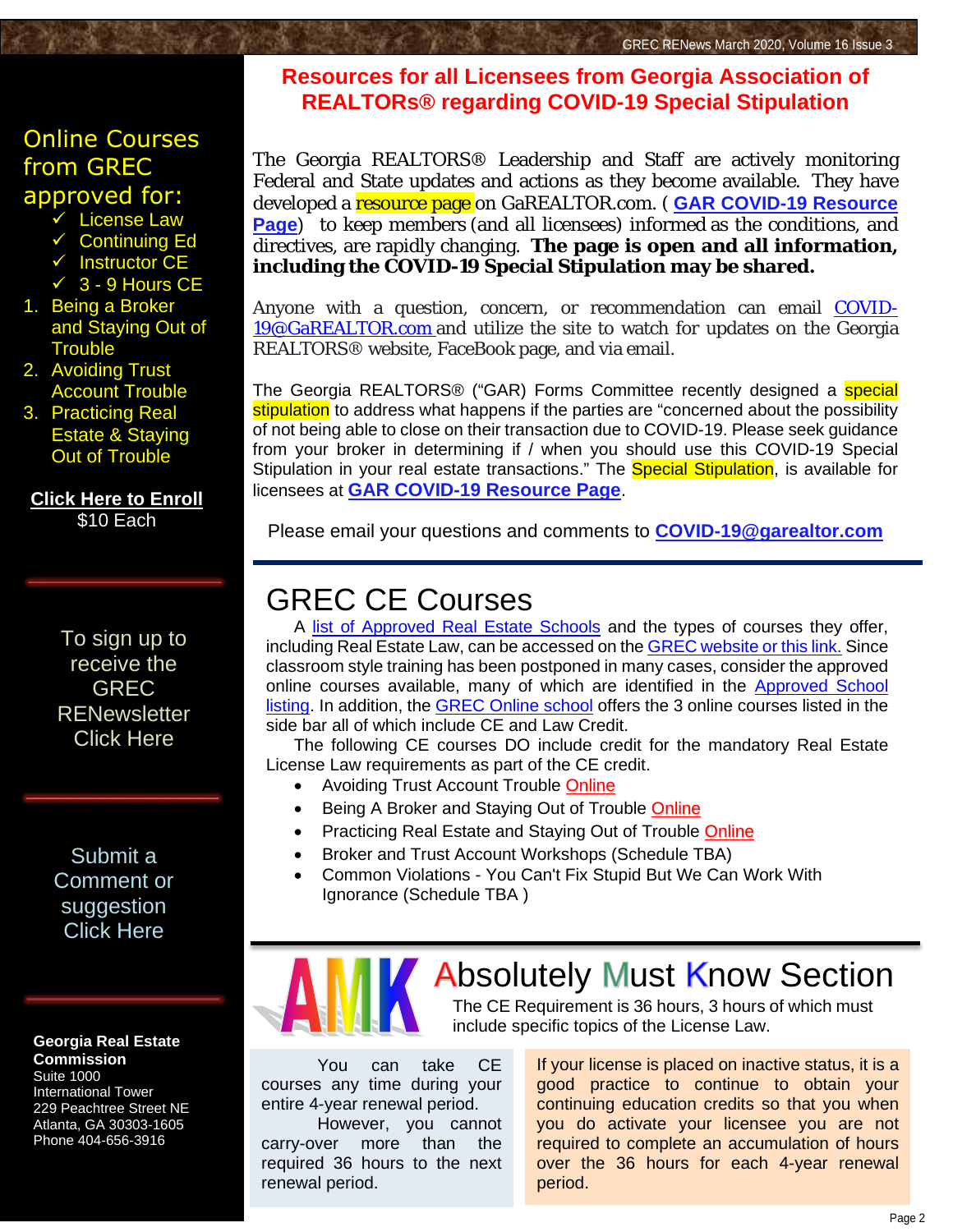### [Online Courses](https://www.jmre.com/enroll12.ASP?schoolid=19)  [from GREC](https://www.jmre.com/enroll12.ASP?schoolid=19)  [approved for:](https://www.jmre.com/enroll12.ASP?schoolid=19)

- [License Law](https://www.jmre.com/enroll12.ASP?schoolid=19)
- [Continuing Ed](https://www.jmre.com/enroll12.ASP?schoolid=19)
- $\overline{\smile}$  [Instructor CE](https://www.jmre.com/enroll12.ASP?schoolid=19)
- $\sqrt{3}$  9 Hours CE
- 1. [Being a Broker](https://www.jmre.com/enroll12.ASP?schoolid=19) [and Staying Out of](https://www.jmre.com/enroll12.ASP?schoolid=19) **[Trouble](https://www.jmre.com/enroll12.ASP?schoolid=19)**
- 2. [Avoiding Trust](https://www.jmre.com/enroll12.ASP?schoolid=19) [Account Trouble](https://www.jmre.com/enroll12.ASP?schoolid=19)
- 3. [Practicing Real](https://www.jmre.com/enroll12.ASP?schoolid=19) [Estate & Staying](https://www.jmre.com/enroll12.ASP?schoolid=19) [Out of Trouble](https://www.jmre.com/enroll12.ASP?schoolid=19)

**[Click Here to Enroll](https://www.jmre.com/enroll12.ASP?schoolid=19)** [\\$10 Each](https://www.jmre.com/enroll12.ASP?schoolid=19)

> To sign up to receive the GREC **RENewsletter** [Click Here](http://www.grec.state.ga.us/about/subscribe.html)

### [Submit a](http://www.jmre.com/grecrenewscomments2014.htm)  [Comment or](http://www.jmre.com/grecrenewscomments2014.htm)  [suggestion](http://www.jmre.com/grecrenewscomments2014.htm)  [Click Here](http://www.jmre.com/grecrenewscomments2014.htm)

#### **Georgia Real Estate Commission** Suite 1000

International Tower 229 Peachtree Street NE Atlanta, GA 30303-1605 Phone 404-656-3916

### **Resources for all Licensees from Georgia Association of REALTORs® regarding COVID-19 Special Stipulation**

The Georgia REALTORS® Leadership and Staff are actively monitoring Federal and State updates and actions as they become available. They have developed a resource page on GaREALTOR.com. ( **GAR [COVID-19](http://r20.rs6.net/tn.jsp?f=0015HgY9xcjcnKER7OKqsQE4Pl7ZifDQCOGZZrmed1JGmQ67WRWhtw6l1JyzH5BjcmqMC2buLHfsBchzVvZzDSFJI7OeRgILJqsGcE5j40slAUOiIRqmBVPeCgXY51kAK4DTYbLoX0kLabMRh32fqih_jBx772adCOS5A23iymWyUDtASw6RZK6bcuLnw6k7-vWsvNfFTNeq92jQWCTbMA86YZmhlXnL7vHUu3g_W4Itf4=&c=1rFqUK461DGjPCaHpXKLzrcCiR3iXUxSGCw0N9sGfy9sPmrgYLYkIA==&ch=BKOi9elpSXuLFZ10eP5zh4CQFg2IRf4cfPguS7_TE4kTBSm3_GGGaw==) Resource [Page](http://r20.rs6.net/tn.jsp?f=0015HgY9xcjcnKER7OKqsQE4Pl7ZifDQCOGZZrmed1JGmQ67WRWhtw6l1JyzH5BjcmqMC2buLHfsBchzVvZzDSFJI7OeRgILJqsGcE5j40slAUOiIRqmBVPeCgXY51kAK4DTYbLoX0kLabMRh32fqih_jBx772adCOS5A23iymWyUDtASw6RZK6bcuLnw6k7-vWsvNfFTNeq92jQWCTbMA86YZmhlXnL7vHUu3g_W4Itf4=&c=1rFqUK461DGjPCaHpXKLzrcCiR3iXUxSGCw0N9sGfy9sPmrgYLYkIA==&ch=BKOi9elpSXuLFZ10eP5zh4CQFg2IRf4cfPguS7_TE4kTBSm3_GGGaw==)**) to keep members (and all licensees) informed as the conditions, and directives, are rapidly changing. **The page is open and all information, including the COVID-19 Special Stipulation may be shared.**

Anyone with a question, concern, or recommendation can email [COVID-](mailto:COVID-19@GaREALTOR.com)[19@GaREALTOR.com](mailto:COVID-19@GaREALTOR.com) and utilize the site to watch for updates on the Georgia REALTORS® website, FaceBook page, and via email.

The Georgia REALTORS<sup>®</sup> ("GAR) Forms Committee recently designed a **special** stipulation to address what happens if the parties are "concerned about the possibility of not being able to close on their transaction due to COVID-19. Please seek guidance from your broker in determining if / when you should use this COVID-19 Special Stipulation in your real estate transactions." The **Special Stipulation**, is available for licensees at **GAR [COVID-19](http://r20.rs6.net/tn.jsp?f=0015HgY9xcjcnKER7OKqsQE4Pl7ZifDQCOGZZrmed1JGmQ67WRWhtw6l1JyzH5BjcmqMC2buLHfsBchzVvZzDSFJI7OeRgILJqsGcE5j40slAUOiIRqmBVPeCgXY51kAK4DTYbLoX0kLabMRh32fqih_jBx772adCOS5A23iymWyUDtASw6RZK6bcuLnw6k7-vWsvNfFTNeq92jQWCTbMA86YZmhlXnL7vHUu3g_W4Itf4=&c=1rFqUK461DGjPCaHpXKLzrcCiR3iXUxSGCw0N9sGfy9sPmrgYLYkIA==&ch=BKOi9elpSXuLFZ10eP5zh4CQFg2IRf4cfPguS7_TE4kTBSm3_GGGaw==) Resource Page**.

Please email your questions and comments to **[COVID-19@garealtor.com](mailto:COVID-19@garealtor.com)**

### GREC CE Courses

A [list of Approved Real Estate Schools](http://www.grec.state.ga.us/PDFS/Other/RE%20Approved%20Schools%20List.pdf) and the types of courses they offer, including Real Estate Law, can be accessed on the [GREC website or this link.](http://www.grec.state.ga.us/PDFS/Other/RE%20Approved%20Schools%20List.pdf) Since classroom style training has been postponed in many cases, consider the approved online courses available, many of which are identified in the [Approved School](http://www.grec.state.ga.us/PDFS/Other/RE%20Approved%20Schools%20List.pdf)  [listing.](http://www.grec.state.ga.us/PDFS/Other/RE%20Approved%20Schools%20List.pdf) In addition, the **GREC Online school offers the 3 online courses listed in the** side bar all of which include CE and Law Credit.

The following CE courses DO include credit for the mandatory Real Estate License Law requirements as part of the CE credit.

- Avoiding Trust Account Trouble [Online](https://www.jmre.com/enroll12.ASP?schoolid=19)
- Being A Broker and Staying Out of Trouble [Online](https://www.jmre.com/enroll12.ASP?schoolid=19)
- Practicing Real Estate and Staying Out of Trouble [Online](https://www.jmre.com/enroll12.ASP?schoolid=19)
- Broker and Trust Account Workshops (Schedule TBA)
- Common Violations You Can't Fix Stupid But We Can Work With Ignorance (Schedule TBA )



### **Absolutely Must Know Section**

The CE Requirement is 36 hours, 3 hours of which must include specific topics of the License Law.

You can take CE courses any time during your entire 4-year renewal period.

However, you cannot carry-over more than the required 36 hours to the next renewal period.

If your license is placed on inactive status, it is a good practice to continue to obtain your continuing education credits so that you when you do activate your licensee you are not required to complete an accumulation of hours [over the 36 hours for each 4-year renewal](http://grec.state.ga.us/about/relaw.html)  period.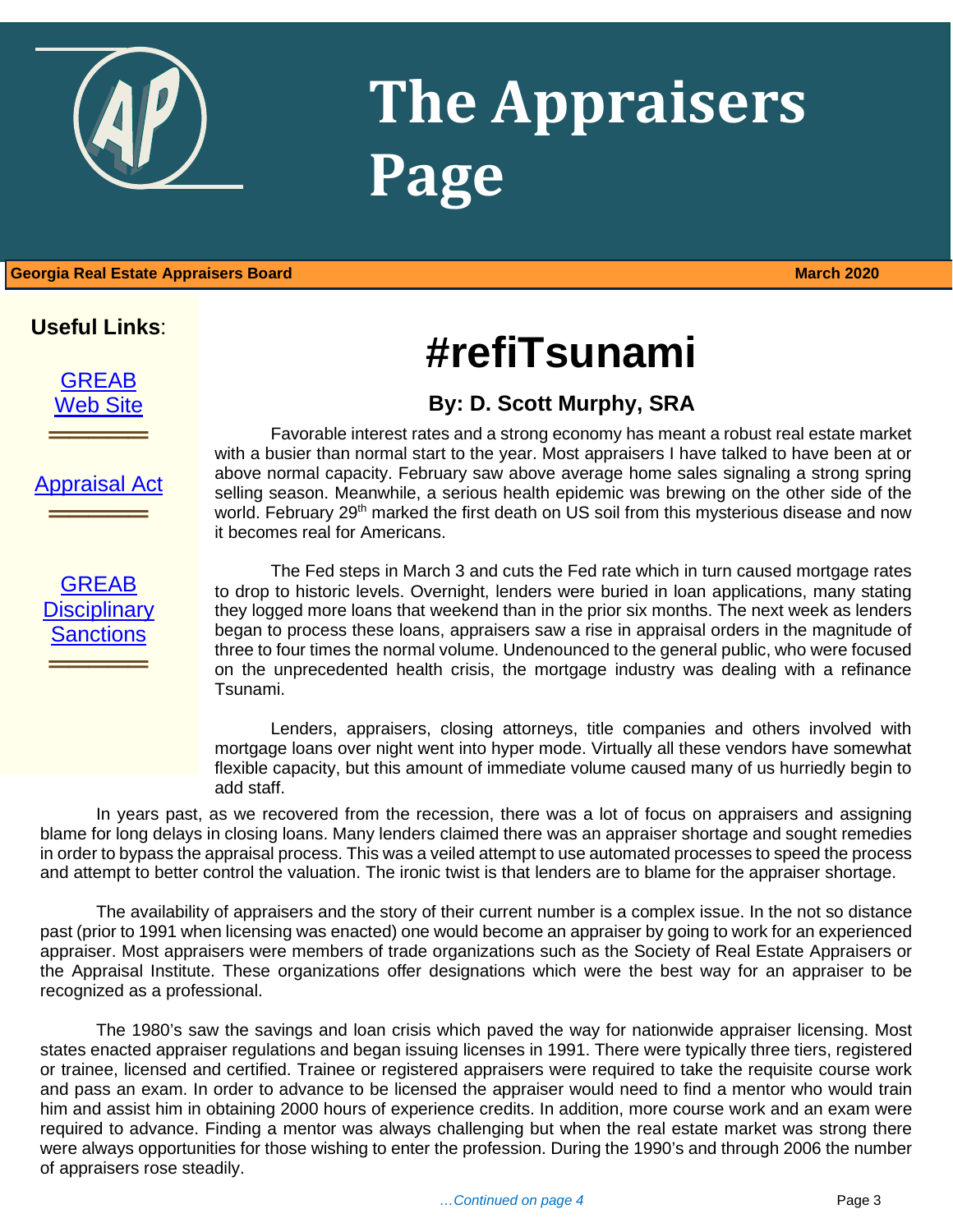

## **The Appraisers Page**

### 1 **Georgia Real Estate Appraisers Board March 2020**

### **Useful Links**:

**[GREAB](http://www.grec.state.ga.us/about/greab.html)** [Web Site](http://www.grec.state.ga.us/about/greab.html)

**════════════**<br>════════════════════

[Appraisal Act](http://www.grec.state.ga.us/about/appraisersact.html)

**════════════**<br>════════════════════

## **#refiTsunami**

### **By: D. Scott Murphy, SRA**

Favorable interest rates and a strong economy has meant a robust real estate market with a busier than normal start to the year. Most appraisers I have talked to have been at or above normal capacity. February saw above average home sales signaling a strong spring selling season. Meanwhile, a serious health epidemic was brewing on the other side of the world. February 29<sup>th</sup> marked the first death on US soil from this mysterious disease and now it becomes real for Americans.

**GREAB Disciplinary [Sanctions](http://www.grec.state.ga.us/about/apprsanctions.html)** 

**════════════**<br>════════════════════

The Fed steps in March 3 and cuts the Fed rate which in turn caused mortgage rates to drop to historic levels. Overnight, lenders were buried in loan applications, many stating they logged more loans that weekend than in the prior six months. The next week as lenders began to process these loans, appraisers saw a rise in appraisal orders in the magnitude of three to four times the normal volume. Undenounced to the general public, who were focused on the unprecedented health crisis, the mortgage industry was dealing with a refinance Tsunami.

Lenders, appraisers, closing attorneys, title companies and others involved with mortgage loans over night went into hyper mode. Virtually all these vendors have somewhat flexible capacity, but this amount of immediate volume caused many of us hurriedly begin to add staff.

In years past, as we recovered from the recession, there was a lot of focus on appraisers and assigning blame for long delays in closing loans. Many lenders claimed there was an appraiser shortage and sought remedies in order to bypass the appraisal process. This was a veiled attempt to use automated processes to speed the process and attempt to better control the valuation. The ironic twist is that lenders are to blame for the appraiser shortage.

The availability of appraisers and the story of their current number is a complex issue. In the not so distance past (prior to 1991 when licensing was enacted) one would become an appraiser by going to work for an experienced appraiser. Most appraisers were members of trade organizations such as the Society of Real Estate Appraisers or the Appraisal Institute. These organizations offer designations which were the best way for an appraiser to be recognized as a professional.

The 1980's saw the savings and loan crisis which paved the way for nationwide appraiser licensing. Most states enacted appraiser regulations and began issuing licenses in 1991. There were typically three tiers, registered or trainee, licensed and certified. Trainee or registered appraisers were required to take the requisite course work and pass an exam. In order to advance to be licensed the appraiser would need to find a mentor who would train him and assist him in obtaining 2000 hours of experience credits. In addition, more course work and an exam were required to advance. Finding a mentor was always challenging but when the real estate market was strong there were always opportunities for those wishing to enter the profession. During the 1990's and through 2006 the number of appraisers rose steadily.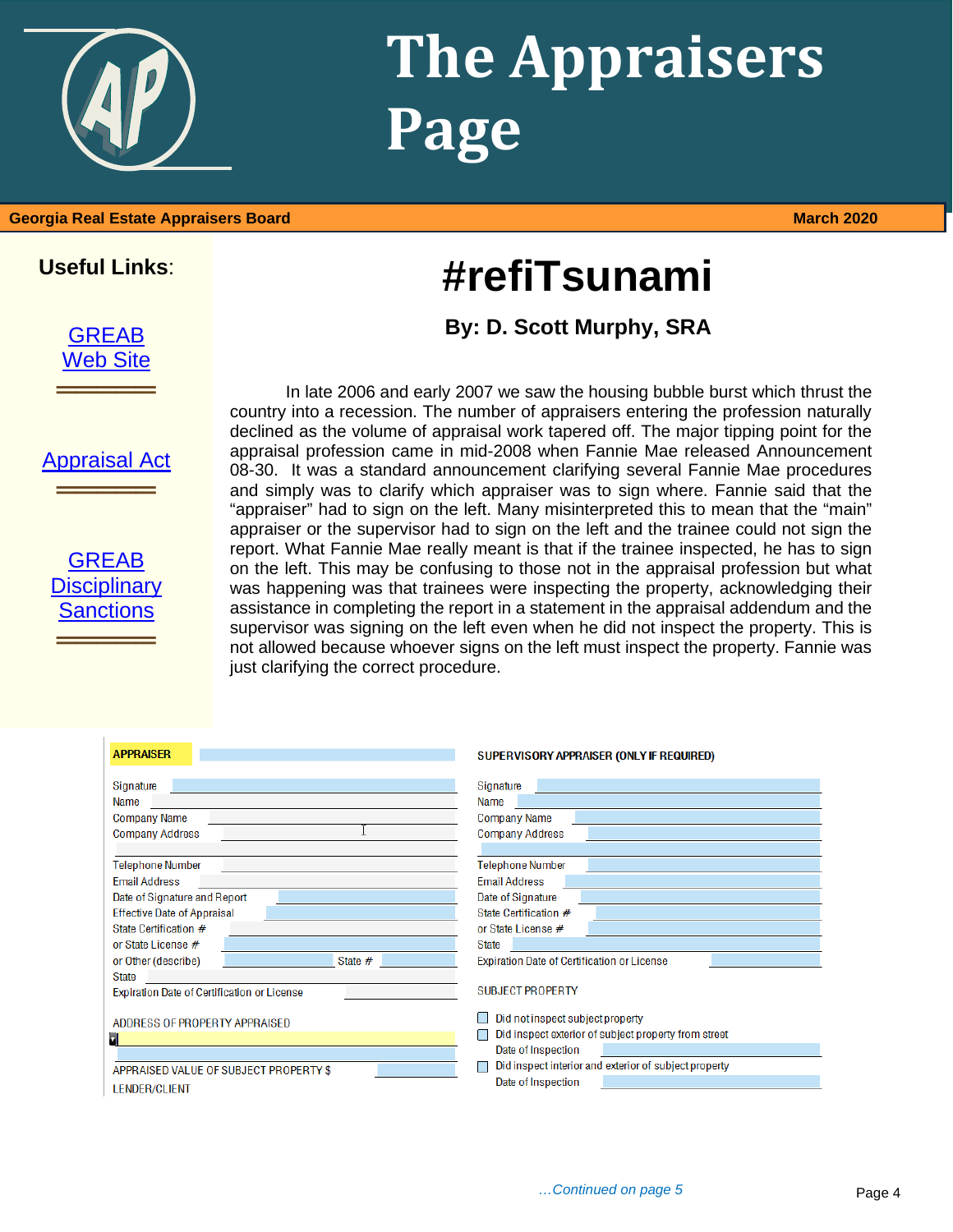

## **The Appraisers Page**

**#refiTsunami**

**By: D. Scott Murphy, SRA**

### **Georgia Real Estate Appraisers Board March 2020**

### **Useful Links**:

[GREAB](http://www.grec.state.ga.us/about/greab.html) [Web Site](http://www.grec.state.ga.us/about/greab.html)

**═══════════**<br>═══════════════════

[Appraisal Act](http://www.grec.state.ga.us/about/appraisersact.html) **═══════════**<br>═══════════════════



In late 2006 and early 2007 we saw the housing bubble burst which thrust the country into a recession. The number of appraisers entering the profession naturally declined as the volume of appraisal work tapered off. The major tipping point for the appraisal profession came in mid-2008 when Fannie Mae released Announcement 08-30. It was a standard announcement clarifying several Fannie Mae procedures and simply was to clarify which appraiser was to sign where. Fannie said that the "appraiser" had to sign on the left. Many misinterpreted this to mean that the "main" appraiser or the supervisor had to sign on the left and the trainee could not sign the report. What Fannie Mae really meant is that if the trainee inspected, he has to sign on the left. This may be confusing to those not in the appraisal profession but what was happening was that trainees were inspecting the property, acknowledging their assistance in completing the report in a statement in the appraisal addendum and the supervisor was signing on the left even when he did not inspect the property. This is not allowed because whoever signs on the left must inspect the property. Fannie was just clarifying the correct procedure.

| <b>APPRAISER</b>                                   | SUPERVISORY APPRAISER (ONLY IF REQUIRED)                                                 |
|----------------------------------------------------|------------------------------------------------------------------------------------------|
| Signature<br>Name<br><b>Company Name</b>           | Signature<br>Name<br><b>Company Name</b>                                                 |
| <b>Company Address</b>                             | <b>Company Address</b>                                                                   |
| <b>Telephone Number</b>                            | <b>Telephone Number</b>                                                                  |
| <b>Email Address</b>                               | <b>Email Address</b>                                                                     |
| Date of Signature and Report                       | Date of Signature                                                                        |
| <b>Effective Date of Appraisal</b>                 | State Certification #                                                                    |
| State Certification #                              | or State License #                                                                       |
| or State License #                                 | <b>State</b>                                                                             |
| or Other (describe)<br>State #                     | <b>Expiration Date of Certification or License</b>                                       |
| <b>State</b>                                       |                                                                                          |
| <b>Expiration Date of Certification or License</b> | <b>SUBJECT PROPERTY</b>                                                                  |
| ADDRESS OF PROPERTY APPRAISED                      | Did not inspect subject property<br>Did inspect exterior of subject property from street |
|                                                    | Date of Inspection                                                                       |
| APPRAISED VALUE OF SUBJECT PROPERTY \$             | Did inspect interior and exterior of subject property                                    |
| <b>LENDER/CLIENT</b>                               | Date of Inspection                                                                       |